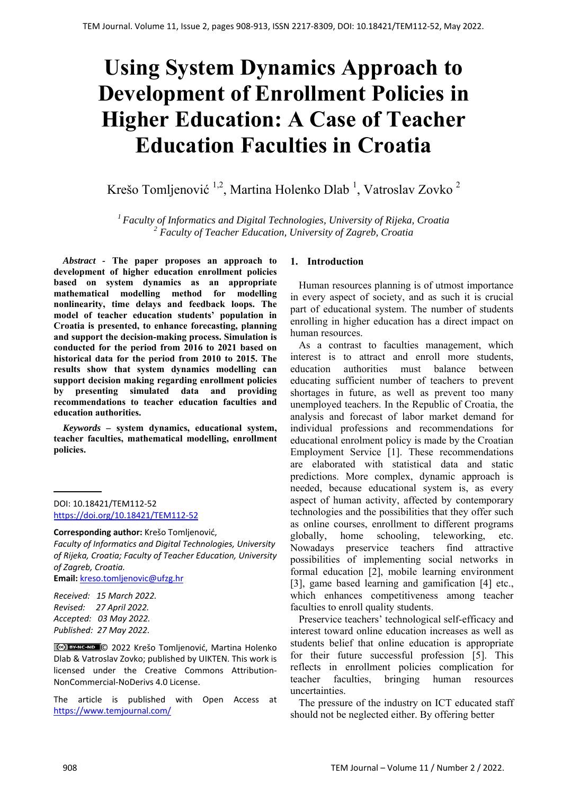# **Using System Dynamics Approach to Development of Enrollment Policies in Higher Education: A Case of Teacher Education Faculties in Croatia**

Krešo Tomljenović  $^{1,2}$ , Martina Holenko Dlab  $^1$ , Vatroslav Zovko  $^2$ 

*1 Faculty of Informatics and Digital Technologies, University of Rijeka, Croatia 2 Faculty of Teacher Education, University of Zagreb, Croatia*

*Abstract -* **The paper proposes an approach to development of higher education enrollment policies based on system dynamics as an appropriate mathematical modelling method for modelling nonlinearity, time delays and feedback loops. The model of teacher education students' population in Croatia is presented, to enhance forecasting, planning and support the decision-making process. Simulation is conducted for the period from 2016 to 2021 based on historical data for the period from 2010 to 2015. The results show that system dynamics modelling can support decision making regarding enrollment policies by presenting simulated data and providing recommendations to teacher education faculties and education authorities.** 

*Keywords –* **system dynamics, educational system, teacher faculties, mathematical modelling, enrollment policies.** 

DOI: 10.18421/TEM112-52 [https://doi.org/10.18421/TEM112](https://doi.org/10.18421/TEM112-52)-52

**Corresponding author:** Krešo Tomljenović,

**Email:** kreso.tomljenovic@ufzg.hr

*Received: 15 March 2022. Revised: 27 April 2022. Accepted: 03 May 2022. Published: 27 May 2022.* 

© 2022 Krešo Tomljenović, Martina Holenko Dlab & Vatroslav Zovko; published by UIKTEN. This work is licensed under the Creative Commons Attribution‐ NonCommercial‐NoDerivs 4.0 License.

The article is published with Open Access at https://www.temjournal.com/

### **1. Introduction**

Human resources planning is of utmost importance in every aspect of society, and as such it is crucial part of educational system. The number of students enrolling in higher education has a direct impact on human resources.

As a contrast to faculties management, which interest is to attract and enroll more students, education authorities must balance between educating sufficient number of teachers to prevent shortages in future, as well as prevent too many unemployed teachers. In the Republic of Croatia, the analysis and forecast of labor market demand for individual professions and recommendations for educational enrolment policy is made by the Croatian Employment Service [1]. These recommendations are elaborated with statistical data and static predictions. More complex, dynamic approach is needed, because educational system is, as every aspect of human activity, affected by contemporary technologies and the possibilities that they offer such as online courses, enrollment to different programs globally, home schooling, teleworking, etc. Nowadays preservice teachers find attractive possibilities of implementing social networks in formal education [2], mobile learning environment [3], game based learning and gamification [4] etc., which enhances competitiveness among teacher faculties to enroll quality students.

Preservice teachers' technological self-efficacy and interest toward online education increases as well as students belief that online education is appropriate for their future successful profession [5]. This reflects in enrollment policies complication for teacher faculties, bringing human resources uncertainties.

The pressure of the industry on ICT educated staff should not be neglected either. By offering better

*Faculty of Informatics and Digital Technologies, University of Rijeka, Croatia; Faculty of Teacher Education, University of Zagreb, Croatia.*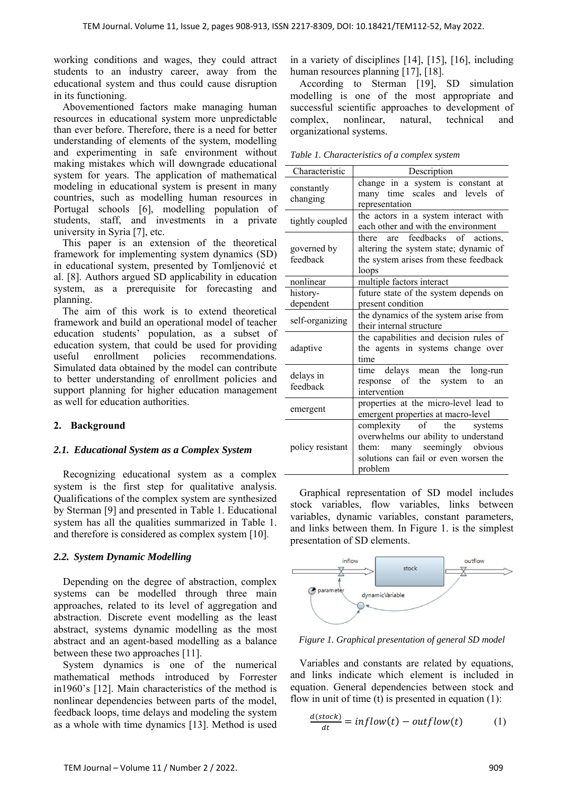working conditions and wages, they could attract students to an industry career, away from the educational system and thus could cause disruption in its functioning.

Abovementioned factors make managing human resources in educational system more unpredictable than ever before. Therefore, there is a need for better understanding of elements of the system, modelling and experimenting in safe environment without making mistakes which will downgrade educational system for years. The application of mathematical modeling in educational system is present in many countries, such as modelling human resources in Portugal schools [6], modelling population of students, staff, and investments in a private university in Syria [7], etc.

This paper is an extension of the theoretical framework for implementing system dynamics (SD) in educational system, presented by Tomljenović et al. [8]. Authors argued SD applicability in education system, as a prerequisite for forecasting and planning.

The aim of this work is to extend theoretical framework and build an operational model of teacher education students' population, as a subset of education system, that could be used for providing useful enrollment policies recommendations. Simulated data obtained by the model can contribute to better understanding of enrollment policies and support planning for higher education management as well for education authorities.

## **2. Background**

#### *2.1. Educational System as a Complex System*

Recognizing educational system as a complex system is the first step for qualitative analysis. Qualifications of the complex system are synthesized by Sterman [9] and presented in Table 1. Educational system has all the qualities summarized in Table 1. and therefore is considered as complex system [10].

#### *2.2. System Dynamic Modelling*

Depending on the degree of abstraction, complex systems can be modelled through three main approaches, related to its level of aggregation and abstraction. Discrete event modelling as the least abstract, systems dynamic modelling as the most abstract and an agent-based modelling as a balance between these two approaches [11].

System dynamics is one of the numerical mathematical methods introduced by Forrester in1960's [12]. Main characteristics of the method is nonlinear dependencies between parts of the model, feedback loops, time delays and modeling the system as a whole with time dynamics [13]. Method is used

in a variety of disciplines [14], [15], [16], including human resources planning [17], [18].

According to Sterman [19], SD simulation modelling is one of the most appropriate and successful scientific approaches to development of complex, nonlinear, natural, technical and organizational systems.

| Characteristic          | Description                                                                                                                                                              |  |  |  |  |
|-------------------------|--------------------------------------------------------------------------------------------------------------------------------------------------------------------------|--|--|--|--|
| constantly<br>changing  | change in a system is constant at<br>many time scales and levels of<br>representation                                                                                    |  |  |  |  |
| tightly coupled         | the actors in a system interact with<br>each other and with the environment                                                                                              |  |  |  |  |
| governed by<br>feedback | there are feedbacks of actions,<br>altering the system state; dynamic of<br>the system arises from these feedback<br>loops                                               |  |  |  |  |
| nonlinear               | multiple factors interact                                                                                                                                                |  |  |  |  |
| history-<br>dependent   | future state of the system depends on<br>present condition                                                                                                               |  |  |  |  |
| self-organizing         | the dynamics of the system arise from<br>their internal structure                                                                                                        |  |  |  |  |
| adaptive                | the capabilities and decision rules of<br>the agents in systems change over<br>time                                                                                      |  |  |  |  |
| delays in<br>feedback   | time delays mean the long-run<br>response of the system<br>to<br>an<br>intervention                                                                                      |  |  |  |  |
| emergent                | properties at the micro-level lead to<br>emergent properties at macro-level                                                                                              |  |  |  |  |
| policy resistant        | complexity<br>$\circ$ f<br>the<br>systems<br>overwhelms our ability to understand<br>many seemingly obvious<br>them:<br>solutions can fail or even worsen the<br>problem |  |  |  |  |

Graphical representation of SD model includes stock variables, flow variables, links between variables, dynamic variables, constant parameters, and links between them. In Figure 1. is the simplest presentation of SD elements.



*Figure 1. Graphical presentation of general SD model* 

Variables and constants are related by equations, and links indicate which element is included in equation. General dependencies between stock and flow in unit of time  $(t)$  is presented in equation  $(1)$ :

$$
\frac{d(stock)}{dt} = inflow(t) - outflow(t) \tag{1}
$$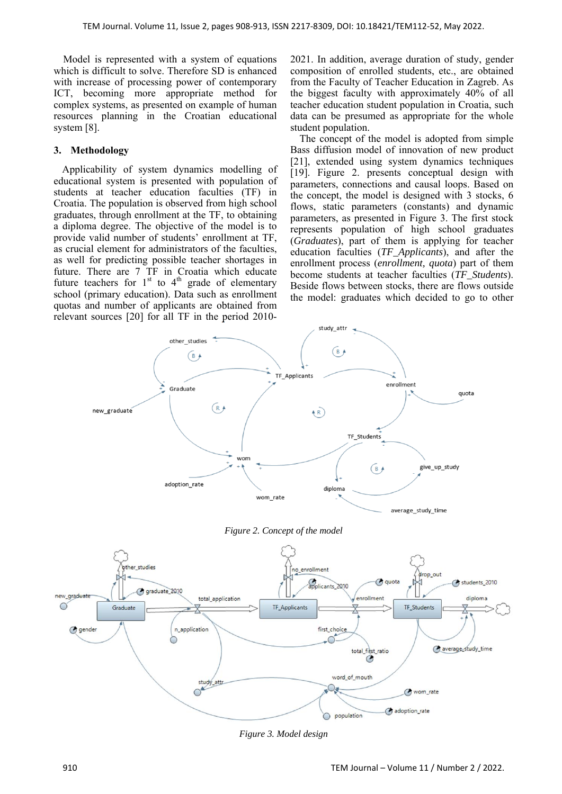Model is represented with a system of equations which is difficult to solve. Therefore SD is enhanced with increase of processing power of contemporary ICT, becoming more appropriate method for complex systems, as presented on example of human resources planning in the Croatian educational system [8].

## **3. Methodology**

Applicability of system dynamics modelling of educational system is presented with population of students at teacher education faculties (TF) in Croatia. The population is observed from high school graduates, through enrollment at the TF, to obtaining a diploma degree. The objective of the model is to provide valid number of students' enrollment at TF, as crucial element for administrators of the faculties, as well for predicting possible teacher shortages in future. There are 7 TF in Croatia which educate future teachers for  $1^{\text{st}}$  to  $4^{\text{th}}$  grade of elementary school (primary education). Data such as enrollment quotas and number of applicants are obtained from relevant sources [20] for all TF in the period 20102021. In addition, average duration of study, gender composition of enrolled students, etc., are obtained from the Faculty of Teacher Education in Zagreb. As the biggest faculty with approximately 40% of all teacher education student population in Croatia, such data can be presumed as appropriate for the whole student population.

The concept of the model is adopted from simple Bass diffusion model of innovation of new product [21], extended using system dynamics techniques [19]. Figure 2. presents conceptual design with parameters, connections and causal loops. Based on the concept, the model is designed with 3 stocks, 6 flows, static parameters (constants) and dynamic parameters, as presented in Figure 3. The first stock represents population of high school graduates (*Graduates*), part of them is applying for teacher education faculties (*TF\_Applicants*), and after the enrollment process (*enrollment, quota*) part of them become students at teacher faculties (*TF\_Students*). Beside flows between stocks, there are flows outside the model: graduates which decided to go to other







*Figure 3. Model design*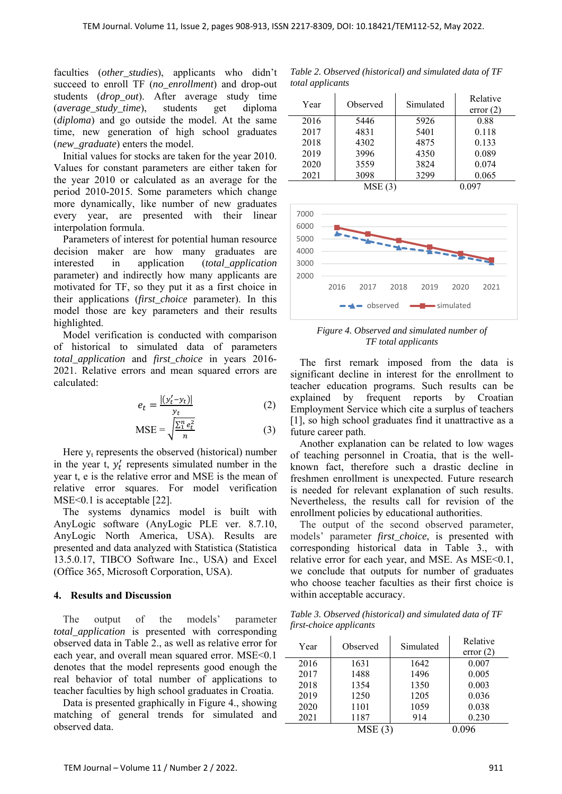faculties (*other\_studies*), applicants who didn't succeed to enroll TF (*no\_enrollment*) and drop-out students (*drop\_out*). After average study time (*average\_study\_time*), students get diploma (*diploma*) and go outside the model. At the same time, new generation of high school graduates (*new\_graduate*) enters the model.

 Initial values for stocks are taken for the year 2010. Values for constant parameters are either taken for the year 2010 or calculated as an average for the period 2010-2015. Some parameters which change more dynamically, like number of new graduates every year, are presented with their linear interpolation formula.

Parameters of interest for potential human resource decision maker are how many graduates are interested in application (*total\_application* parameter) and indirectly how many applicants are motivated for TF, so they put it as a first choice in their applications (*first\_choice* parameter). In this model those are key parameters and their results highlighted.

Model verification is conducted with comparison of historical to simulated data of parameters *total\_application* and *first\_choice* in years 2016- 2021. Relative errors and mean squared errors are calculated:

$$
e_t = \frac{|(y'_t - y_t)|}{y_t} \tag{2}
$$

$$
MSE = \sqrt{\frac{\sum_{i=1}^{n} e_t^2}{n}}
$$
 (3)

Here  $y_t$  represents the observed (historical) number in the year  $t$ ,  $y'_t$  represents simulated number in the year t, e is the relative error and MSE is the mean of relative error squares. For model verification MSE<0.1 is acceptable [22].

The systems dynamics model is built with AnyLogic software (AnyLogic PLE ver. 8.7.10, AnyLogic North America, USA). Results are presented and data analyzed with Statistica (Statistica 13.5.0.17, TIBCO Software Inc., USA) and Excel (Office 365, Microsoft Corporation, USA).

#### **4. Results and Discussion**

The output of the models' parameter *total\_application* is presented with corresponding observed data in Table 2., as well as relative error for each year, and overall mean squared error. MSE<0.1 denotes that the model represents good enough the real behavior of total number of applications to teacher faculties by high school graduates in Croatia.

Data is presented graphically in Figure 4., showing matching of general trends for simulated and observed data.

*Table 2. Observed (historical) and simulated data of TF total applicants* 

| Year | Observed | Simulated | Relative<br>error(2) |
|------|----------|-----------|----------------------|
| 2016 | 5446     | 5926      | 0.88                 |
| 2017 | 4831     | 5401      | 0.118                |
| 2018 | 4302     | 4875      | 0.133                |
| 2019 | 3996     | 4350      | 0.089                |
| 2020 | 3559     | 3824      | 0.074                |
| 2021 | 3098     | 3299      | 0.065                |
|      | MSE(3)   |           |                      |



*Figure 4. Observed and simulated number of TF total applicants* 

The first remark imposed from the data is significant decline in interest for the enrollment to teacher education programs. Such results can be explained by frequent reports by Croatian Employment Service which cite a surplus of teachers [1], so high school graduates find it unattractive as a future career path.

Another explanation can be related to low wages of teaching personnel in Croatia, that is the wellknown fact, therefore such a drastic decline in freshmen enrollment is unexpected. Future research is needed for relevant explanation of such results. Nevertheless, the results call for revision of the enrollment policies by educational authorities.

The output of the second observed parameter, models' parameter *first choice*, is presented with corresponding historical data in Table 3., with relative error for each year, and MSE. As MSE<0.1, we conclude that outputs for number of graduates who choose teacher faculties as their first choice is within acceptable accuracy.

*Table 3. Observed (historical) and simulated data of TF first-choice applicants* 

| Year | Observed | Simulated | Relative<br>error(2) |
|------|----------|-----------|----------------------|
| 2016 | 1631     | 1642      | 0.007                |
| 2017 | 1488     | 1496      | 0.005                |
| 2018 | 1354     | 1350      | 0.003                |
| 2019 | 1250     | 1205      | 0.036                |
| 2020 | 1101     | 1059      | 0.038                |
| 2021 | 1187     | 914       | 0.230                |
|      | MSE(3)   |           |                      |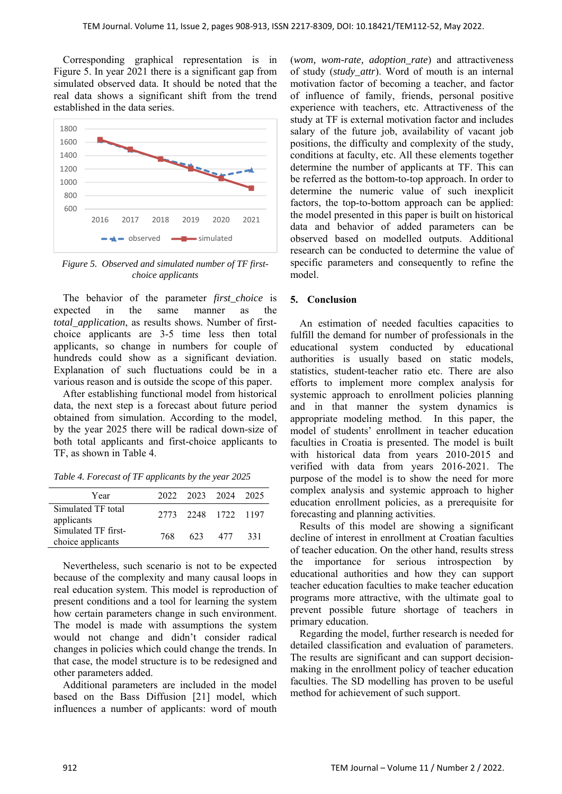Corresponding graphical representation is in Figure 5. In year 2021 there is a significant gap from simulated observed data. It should be noted that the real data shows a significant shift from the trend established in the data series.



*Figure 5. Observed and simulated number of TF firstchoice applicants* 

The behavior of the parameter *first choice* is expected in the same manner as the *total\_application*, as results shows. Number of firstchoice applicants are 3-5 time less then total applicants, so change in numbers for couple of hundreds could show as a significant deviation. Explanation of such fluctuations could be in a various reason and is outside the scope of this paper.

After establishing functional model from historical data, the next step is a forecast about future period obtained from simulation. According to the model, by the year 2025 there will be radical down-size of both total applicants and first-choice applicants to TF, as shown in Table 4.

*Table 4. Forecast of TF applicants by the year 2025* 

| 768. |  | 331                                                   |
|------|--|-------------------------------------------------------|
|      |  | 2022 2023 2024 2025<br>2773 2248 1722 1197<br>623 477 |

Nevertheless, such scenario is not to be expected because of the complexity and many causal loops in real education system. This model is reproduction of present conditions and a tool for learning the system how certain parameters change in such environment. The model is made with assumptions the system would not change and didn't consider radical changes in policies which could change the trends. In that case, the model structure is to be redesigned and other parameters added.

Additional parameters are included in the model based on the Bass Diffusion [21] model, which influences a number of applicants: word of mouth

(*wom, wom-rate, adoption\_rate*) and attractiveness of study (*study\_attr*). Word of mouth is an internal motivation factor of becoming a teacher, and factor of influence of family, friends, personal positive experience with teachers, etc. Attractiveness of the study at TF is external motivation factor and includes salary of the future job, availability of vacant job positions, the difficulty and complexity of the study, conditions at faculty, etc. All these elements together determine the number of applicants at TF. This can be referred as the bottom-to-top approach. In order to determine the numeric value of such inexplicit factors, the top-to-bottom approach can be applied: the model presented in this paper is built on historical data and behavior of added parameters can be observed based on modelled outputs. Additional research can be conducted to determine the value of specific parameters and consequently to refine the model.

#### **5. Conclusion**

An estimation of needed faculties capacities to fulfill the demand for number of professionals in the educational system conducted by educational authorities is usually based on static models, statistics, student-teacher ratio etc. There are also efforts to implement more complex analysis for systemic approach to enrollment policies planning and in that manner the system dynamics is appropriate modeling method. In this paper, the model of students' enrollment in teacher education faculties in Croatia is presented. The model is built with historical data from years 2010-2015 and verified with data from years 2016-2021. The purpose of the model is to show the need for more complex analysis and systemic approach to higher education enrollment policies, as a prerequisite for forecasting and planning activities.

Results of this model are showing a significant decline of interest in enrollment at Croatian faculties of teacher education. On the other hand, results stress the importance for serious introspection by educational authorities and how they can support teacher education faculties to make teacher education programs more attractive, with the ultimate goal to prevent possible future shortage of teachers in primary education.

Regarding the model, further research is needed for detailed classification and evaluation of parameters. The results are significant and can support decisionmaking in the enrollment policy of teacher education faculties. The SD modelling has proven to be useful method for achievement of such support.